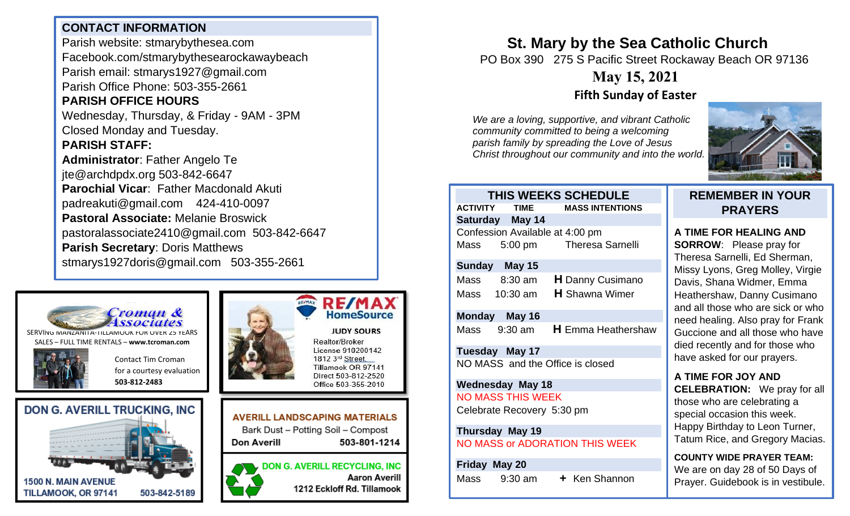### **CONTACT INFORMATION**

Parish website: stmarybythesea.com Facebook.com/stmarybythesearockawaybeach Parish email: stmarys1927@gmail.com Parish Office Phone: 503-355-2661

# **PARISH OFFICE HOURS**

Wednesday, Thursday, & Friday - 9AM - 3PM Closed Monday and Tuesday.

#### **PARISH STAFF:**

**Administrator**: Father Angelo Te jte@archdpdx.org 503-842-6647 **Parochial Vicar**: Father Macdonald Akuti padreakuti@gmail.com 424-410-0097 **Pastoral Associate:** Melanie Broswick pastoralassociate2410@gmail.com 503-842-6647 **Parish Secretary**: Doris Matthews stmarys1927doris@gmail.com 503-355-2661



SERVING MANZANITA-TILLAMOOK FOR OVER 25 YEARS SALES – FULL TIME RENTALS – **[www.tcroman.com](http://www.tcroman.com/)**

> Contact Tim Croman for a courtesy evaluation

**503-812-2483**









Realtor/Broker License 910200142 1812 3rd Street, Tillamook OR 97141 Direct 503-812-2520 Office 503-355-2010

#### **AVERILL LANDSCAPING MATERIALS** Bark Dust - Potting Soil - Compost Don Averill 503-801-1214

**DON G. AVERILL RECYCLING, INC Aaron Averill** 1212 Eckloff Rd. Tillamook

# **St. Mary by the Sea Catholic Church**

PO Box 390 275 S Pacific Street Rockaway Beach OR 97136

# **May 15, 2021 Fifth Sunday of Easter**

*We are a loving, supportive, and vibrant Catholic community committed to being a welcoming parish family by spreading the Love of Jesus Christ throughout our community and into the world.*



|                                       |                                 | THIS WEEKS SCHEDULE                    |
|---------------------------------------|---------------------------------|----------------------------------------|
|                                       |                                 | <b>ACTIVITY TIME MASS INTENTIONS</b>   |
|                                       | Saturday May 14                 |                                        |
|                                       | Confession Available at 4:00 pm |                                        |
|                                       |                                 | Mass 5:00 pm Theresa Sarnelli          |
|                                       | Sunday May 15                   |                                        |
|                                       | Mass 8:30 am                    | <b>H</b> Danny Cusimano                |
|                                       | Mass 10:30 am                   | <b>H</b> Shawna Wimer                  |
|                                       | Monday May 16                   |                                        |
|                                       |                                 | Mass 9:30 am <b>H</b> Emma Heathershaw |
| <b>Tuesday May 17</b>                 |                                 |                                        |
| NO MASS and the Office is closed      |                                 |                                        |
| <b>Wednesday May 18</b>               |                                 |                                        |
| <b>NO MASS THIS WEEK</b>              |                                 |                                        |
| Celebrate Recovery 5:30 pm            |                                 |                                        |
| Thursday May 19                       |                                 |                                        |
| <b>NO MASS or ADORATION THIS WEEK</b> |                                 |                                        |
| Friday May 20                         |                                 |                                        |
|                                       | Mass $9:30$ am                  | + Ken Shannon                          |

### **REMEMBER IN YOUR PRAYERS**

# **A TIME FOR HEALING AND**

**SORROW**: Please pray for Theresa Sarnelli, Ed Sherman, Missy Lyons, Greg Molley, Virgie Davis, Shana Widmer, Emma Heathershaw, Danny Cusimano and all those who are sick or who need healing. Also pray for Frank Guccione and all those who have died recently and for those who have asked for our prayers.

#### **A TIME FOR JOY AND CELEBRATION:** We pray for all those who are celebrating a special occasion this week. Happy Birthday to Leon Turner, Tatum Rice, and Gregory Macias.

**COUNTY WIDE PRAYER TEAM:** We are on day 28 of 50 Days of Prayer. Guidebook is in vestibule.